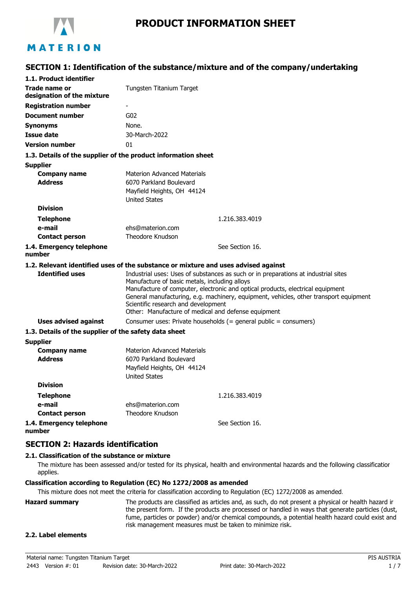

# **SECTION 1: Identification of the substance/mixture and of the company/undertaking**

| 1.1. Product identifier                                                            |                                                                                            |                                                                                       |  |
|------------------------------------------------------------------------------------|--------------------------------------------------------------------------------------------|---------------------------------------------------------------------------------------|--|
| <b>Trade name or</b>                                                               | Tungsten Titanium Target                                                                   |                                                                                       |  |
| designation of the mixture                                                         |                                                                                            |                                                                                       |  |
| <b>Registration number</b>                                                         |                                                                                            |                                                                                       |  |
| <b>Document number</b>                                                             | G02                                                                                        |                                                                                       |  |
| <b>Synonyms</b>                                                                    | None.                                                                                      |                                                                                       |  |
| <b>Issue date</b>                                                                  | 30-March-2022                                                                              |                                                                                       |  |
| <b>Version number</b>                                                              | 01                                                                                         |                                                                                       |  |
| 1.3. Details of the supplier of the product information sheet                      |                                                                                            |                                                                                       |  |
| <b>Supplier</b>                                                                    |                                                                                            |                                                                                       |  |
| <b>Company name</b>                                                                | <b>Materion Advanced Materials</b>                                                         |                                                                                       |  |
| <b>Address</b>                                                                     | 6070 Parkland Boulevard                                                                    |                                                                                       |  |
|                                                                                    | Mayfield Heights, OH 44124                                                                 |                                                                                       |  |
|                                                                                    | <b>United States</b>                                                                       |                                                                                       |  |
| <b>Division</b>                                                                    |                                                                                            |                                                                                       |  |
| <b>Telephone</b>                                                                   |                                                                                            | 1.216.383.4019                                                                        |  |
| e-mail                                                                             | ehs@materion.com<br>Theodore Knudson                                                       |                                                                                       |  |
| <b>Contact person</b>                                                              |                                                                                            |                                                                                       |  |
| 1.4. Emergency telephone<br>number                                                 |                                                                                            | See Section 16.                                                                       |  |
| 1.2. Relevant identified uses of the substance or mixture and uses advised against |                                                                                            |                                                                                       |  |
| <b>Identified uses</b>                                                             |                                                                                            | Industrial uses: Uses of substances as such or in preparations at industrial sites    |  |
|                                                                                    | Manufacture of basic metals, including alloys                                              |                                                                                       |  |
|                                                                                    |                                                                                            | Manufacture of computer, electronic and optical products, electrical equipment        |  |
|                                                                                    |                                                                                            | General manufacturing, e.g. machinery, equipment, vehicles, other transport equipment |  |
|                                                                                    | Scientific research and development<br>Other: Manufacture of medical and defense equipment |                                                                                       |  |
| <b>Uses advised against</b>                                                        |                                                                                            | Consumer uses: Private households (= general public = consumers)                      |  |
| 1.3. Details of the supplier of the safety data sheet                              |                                                                                            |                                                                                       |  |
| <b>Supplier</b>                                                                    |                                                                                            |                                                                                       |  |
| <b>Company name</b>                                                                | <b>Materion Advanced Materials</b>                                                         |                                                                                       |  |
| <b>Address</b>                                                                     | 6070 Parkland Boulevard                                                                    |                                                                                       |  |
|                                                                                    | Mayfield Heights, OH 44124                                                                 |                                                                                       |  |
|                                                                                    | <b>United States</b>                                                                       |                                                                                       |  |
| <b>Division</b>                                                                    |                                                                                            |                                                                                       |  |
| <b>Telephone</b>                                                                   |                                                                                            | 1.216.383.4019                                                                        |  |
| e-mail                                                                             | ehs@materion.com                                                                           |                                                                                       |  |
| <b>Contact person</b>                                                              | Theodore Knudson                                                                           |                                                                                       |  |
| 1.4. Emergency telephone                                                           |                                                                                            | See Section 16.                                                                       |  |
| number                                                                             |                                                                                            |                                                                                       |  |

### **SECTION 2: Hazards identification**

### **2.1. Classification of the substance or mixture**

The mixture has been assessed and/or tested for its physical, health and environmental hazards and the following classification applies.

#### **Classification according to Regulation (EC) No 1272/2008 as amended**

This mixture does not meet the criteria for classification according to Regulation (EC) 1272/2008 as amended.

**Hazard summary** The products are classified as articles and, as such, do not present a physical or health hazard in the present form. If the products are processed or handled in ways that generate particles (dust, fume, particles or powder) and/or chemical compounds, a potential health hazard could exist and risk management measures must be taken to minimize risk.

### **2.2. Label elements**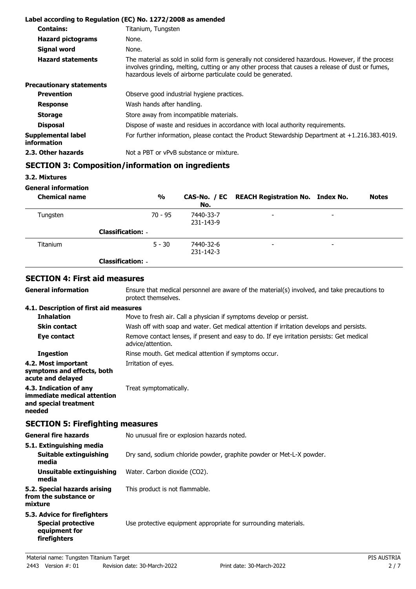|                                          | Label according to Regulation (EC) No. 1272/2008 as amended                                                                                                                                                                                                           |  |
|------------------------------------------|-----------------------------------------------------------------------------------------------------------------------------------------------------------------------------------------------------------------------------------------------------------------------|--|
| <b>Contains:</b>                         | Titanium, Tungsten                                                                                                                                                                                                                                                    |  |
| <b>Hazard pictograms</b>                 | None.                                                                                                                                                                                                                                                                 |  |
| <b>Signal word</b>                       | None.                                                                                                                                                                                                                                                                 |  |
| <b>Hazard statements</b>                 | The material as sold in solid form is generally not considered hazardous. However, if the process<br>involves grinding, melting, cutting or any other process that causes a release of dust or fumes,<br>hazardous levels of airborne particulate could be generated. |  |
| <b>Precautionary statements</b>          |                                                                                                                                                                                                                                                                       |  |
| <b>Prevention</b>                        | Observe good industrial hygiene practices.                                                                                                                                                                                                                            |  |
| <b>Response</b>                          | Wash hands after handling.                                                                                                                                                                                                                                            |  |
| <b>Storage</b>                           | Store away from incompatible materials.                                                                                                                                                                                                                               |  |
| <b>Disposal</b>                          | Dispose of waste and residues in accordance with local authority requirements.                                                                                                                                                                                        |  |
| Supplemental label<br><i>information</i> | For further information, please contact the Product Stewardship Department at $+1.216.383.4019$ .                                                                                                                                                                     |  |
| 2.3. Other hazards                       | Not a PBT or vPvB substance or mixture.                                                                                                                                                                                                                               |  |

# **SECTION 3: Composition/information on ingredients**

**3.2. Mixtures**

**General information**

**General information**

| <b>Chemical name</b> | $\frac{0}{0}$            | No.                    | CAS-No. / EC REACH Registration No. Index No. |                          | <b>Notes</b> |
|----------------------|--------------------------|------------------------|-----------------------------------------------|--------------------------|--------------|
| Tungsten             | $70 - 95$                | 7440-33-7<br>231-143-9 | $\overline{\phantom{0}}$                      | $\overline{\phantom{0}}$ |              |
|                      | <b>Classification: -</b> |                        |                                               |                          |              |
| <b>Titanium</b>      | $5 - 30$                 | 7440-32-6<br>231-142-3 | $\overline{\phantom{0}}$                      | -                        |              |
|                      | <b>Classification: -</b> |                        |                                               |                          |              |

### **SECTION 4: First aid measures**

Ensure that medical personnel are aware of the material(s) involved, and take precautions to protect themselves.

### **4.1. Description of first aid measures**

| <b>Inhalation</b>                                                                        | Move to fresh air. Call a physician if symptoms develop or persist.                                            |  |
|------------------------------------------------------------------------------------------|----------------------------------------------------------------------------------------------------------------|--|
| <b>Skin contact</b>                                                                      | Wash off with soap and water. Get medical attention if irritation develops and persists.                       |  |
| Eye contact                                                                              | Remove contact lenses, if present and easy to do. If eye irritation persists: Get medical<br>advice/attention. |  |
| <b>Ingestion</b>                                                                         | Rinse mouth. Get medical attention if symptoms occur.                                                          |  |
| 4.2. Most important<br>symptoms and effects, both<br>acute and delayed                   | Irritation of eyes.                                                                                            |  |
| 4.3. Indication of any<br>immediate medical attention<br>and special treatment<br>needed | Treat symptomatically.                                                                                         |  |

## **SECTION 5: Firefighting measures**

| <b>General fire hazards</b>                                                                | No unusual fire or explosion hazards noted.                          |  |
|--------------------------------------------------------------------------------------------|----------------------------------------------------------------------|--|
| 5.1. Extinguishing media<br>Suitable extinguishing<br>media                                | Dry sand, sodium chloride powder, graphite powder or Met-L-X powder. |  |
| Unsuitable extinguishing<br>media                                                          | Water. Carbon dioxide (CO2).                                         |  |
| 5.2. Special hazards arising<br>from the substance or<br>mixture                           | This product is not flammable.                                       |  |
| 5.3. Advice for firefighters<br><b>Special protective</b><br>equipment for<br>firefighters | Use protective equipment appropriate for surrounding materials.      |  |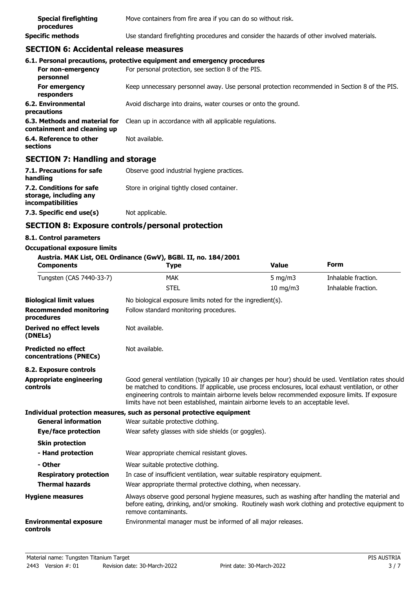| <b>Special firefighting</b><br>procedures | Move containers from fire area if you can do so without risk.                              |
|-------------------------------------------|--------------------------------------------------------------------------------------------|
| <b>Specific methods</b>                   | Use standard firefighting procedures and consider the hazards of other involved materials. |

## **SECTION 6: Accidental release measures**

|                                                              | 6.1. Personal precautions, protective equipment and emergency procedures                      |  |
|--------------------------------------------------------------|-----------------------------------------------------------------------------------------------|--|
| For non-emergency<br>personnel                               | For personal protection, see section 8 of the PIS.                                            |  |
| For emergency<br>responders                                  | Keep unnecessary personnel away. Use personal protection recommended in Section 8 of the PIS. |  |
| 6.2. Environmental<br>precautions                            | Avoid discharge into drains, water courses or onto the ground.                                |  |
| 6.3. Methods and material for<br>containment and cleaning up | Clean up in accordance with all applicable regulations.                                       |  |
| 6.4. Reference to other<br>sections                          | Not available.                                                                                |  |

## **SECTION 7: Handling and storage**

| 7.1. Precautions for safe<br>handling                                   | Observe good industrial hygiene practices.  |
|-------------------------------------------------------------------------|---------------------------------------------|
| 7.2. Conditions for safe<br>storage, including any<br>incompatibilities | Store in original tightly closed container. |
| 7.3. Specific end use(s)                                                | Not applicable.                             |

## **SECTION 8: Exposure controls/personal protection**

### **8.1. Control parameters**

#### **Occupational exposure limits**

#### **Austria. MAK List, OEL Ordinance (GwV), BGBl. II, no. 184/2001**

| <b>Components</b>                                    | <b>Type</b>                                                                                                                                                                                                                                                                                                                                                                                            | <b>Value</b> | <b>Form</b>         |
|------------------------------------------------------|--------------------------------------------------------------------------------------------------------------------------------------------------------------------------------------------------------------------------------------------------------------------------------------------------------------------------------------------------------------------------------------------------------|--------------|---------------------|
| Tungsten (CAS 7440-33-7)                             | <b>MAK</b>                                                                                                                                                                                                                                                                                                                                                                                             | 5 mg/m $3$   | Inhalable fraction. |
|                                                      | <b>STEL</b>                                                                                                                                                                                                                                                                                                                                                                                            | 10 mg/m3     | Inhalable fraction. |
| <b>Biological limit values</b>                       | No biological exposure limits noted for the ingredient(s).                                                                                                                                                                                                                                                                                                                                             |              |                     |
| <b>Recommended monitoring</b><br>procedures          | Follow standard monitoring procedures.                                                                                                                                                                                                                                                                                                                                                                 |              |                     |
| Derived no effect levels<br>(DNELs)                  | Not available.                                                                                                                                                                                                                                                                                                                                                                                         |              |                     |
| <b>Predicted no effect</b><br>concentrations (PNECs) | Not available.                                                                                                                                                                                                                                                                                                                                                                                         |              |                     |
| 8.2. Exposure controls                               |                                                                                                                                                                                                                                                                                                                                                                                                        |              |                     |
| <b>Appropriate engineering</b><br>controls           | Good general ventilation (typically 10 air changes per hour) should be used. Ventilation rates should<br>be matched to conditions. If applicable, use process enclosures, local exhaust ventilation, or other<br>engineering controls to maintain airborne levels below recommended exposure limits. If exposure<br>limits have not been established, maintain airborne levels to an acceptable level. |              |                     |
|                                                      | Individual protection measures, such as personal protective equipment                                                                                                                                                                                                                                                                                                                                  |              |                     |
| <b>General information</b>                           | Wear suitable protective clothing.                                                                                                                                                                                                                                                                                                                                                                     |              |                     |
| Eye/face protection                                  | Wear safety glasses with side shields (or goggles).                                                                                                                                                                                                                                                                                                                                                    |              |                     |
| <b>Skin protection</b><br>- Hand protection          | Wear appropriate chemical resistant gloves.                                                                                                                                                                                                                                                                                                                                                            |              |                     |
| - Other                                              | Wear suitable protective clothing.                                                                                                                                                                                                                                                                                                                                                                     |              |                     |
| <b>Respiratory protection</b>                        | In case of insufficient ventilation, wear suitable respiratory equipment.                                                                                                                                                                                                                                                                                                                              |              |                     |
| <b>Thermal hazards</b>                               | Wear appropriate thermal protective clothing, when necessary.                                                                                                                                                                                                                                                                                                                                          |              |                     |
| <b>Hygiene measures</b>                              | Always observe good personal hygiene measures, such as washing after handling the material and<br>before eating, drinking, and/or smoking. Routinely wash work clothing and protective equipment to<br>remove contaminants.                                                                                                                                                                            |              |                     |
| <b>Environmental exposure</b><br>controls            | Environmental manager must be informed of all major releases.                                                                                                                                                                                                                                                                                                                                          |              |                     |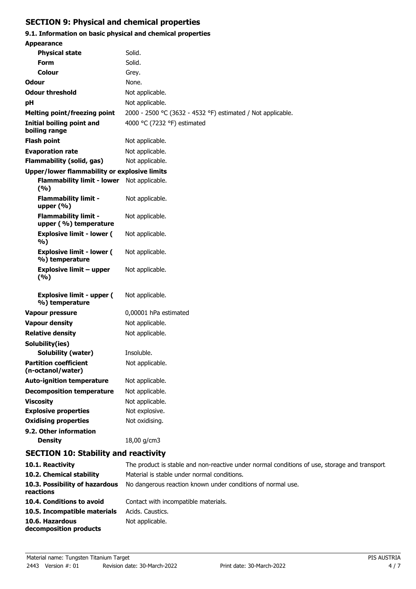# **SECTION 9: Physical and chemical properties**

# **9.1. Information on basic physical and chemical properties**

| <b>Appearance</b>                                    |                                                             |  |
|------------------------------------------------------|-------------------------------------------------------------|--|
| <b>Physical state</b>                                | Solid.                                                      |  |
| <b>Form</b>                                          | Solid.                                                      |  |
| Colour                                               | Grey.                                                       |  |
| Odour                                                | None.                                                       |  |
| <b>Odour threshold</b>                               | Not applicable.                                             |  |
| рH                                                   | Not applicable.                                             |  |
| <b>Melting point/freezing point</b>                  | 2000 - 2500 °C (3632 - 4532 °F) estimated / Not applicable. |  |
| Initial boiling point and<br>boiling range           | 4000 °C (7232 °F) estimated                                 |  |
| <b>Flash point</b>                                   | Not applicable.                                             |  |
| <b>Evaporation rate</b>                              | Not applicable.                                             |  |
| <b>Flammability (solid, gas)</b>                     | Not applicable.                                             |  |
| Upper/lower flammability or explosive limits         |                                                             |  |
| <b>Flammability limit - lower</b><br>(%)             | Not applicable.                                             |  |
| <b>Flammability limit -</b><br>upper (%)             | Not applicable.                                             |  |
| <b>Flammability limit -</b><br>upper (%) temperature | Not applicable.                                             |  |
| <b>Explosive limit - lower (</b><br>%)               | Not applicable.                                             |  |
| <b>Explosive limit - lower (</b><br>%) temperature   | Not applicable.                                             |  |
| <b>Explosive limit - upper</b><br>(%)                | Not applicable.                                             |  |
| <b>Explosive limit - upper (</b><br>%) temperature   | Not applicable.                                             |  |
| <b>Vapour pressure</b>                               | 0,00001 hPa estimated                                       |  |
| <b>Vapour density</b>                                | Not applicable.                                             |  |
| <b>Relative density</b>                              | Not applicable.                                             |  |
| Solubility(ies)                                      |                                                             |  |
| Solubility (water)                                   | Insoluble.                                                  |  |
| <b>Partition coefficient</b><br>(n-octanol/water)    | Not applicable.                                             |  |
| <b>Auto-ignition temperature</b><br>Not applicable.  |                                                             |  |
| <b>Decomposition temperature</b>                     | Not applicable.                                             |  |
| <b>Viscosity</b>                                     | Not applicable.                                             |  |
| <b>Explosive properties</b>                          | Not explosive.                                              |  |
| <b>Oxidising properties</b>                          | Not oxidising.                                              |  |
| 9.2. Other information                               |                                                             |  |
| <b>Density</b>                                       | 18,00 g/cm3                                                 |  |
| <b>SECTION 10: Stability and reactivity</b>          |                                                             |  |

| 10.1. Reactivity                            | The product is stable and non-reactive under normal conditions of use, storage and transport. |
|---------------------------------------------|-----------------------------------------------------------------------------------------------|
| 10.2. Chemical stability                    | Material is stable under normal conditions.                                                   |
| 10.3. Possibility of hazardous<br>reactions | No dangerous reaction known under conditions of normal use.                                   |
| 10.4. Conditions to avoid                   | Contact with incompatible materials.                                                          |
| 10.5. Incompatible materials                | Acids. Caustics.                                                                              |
| 10.6. Hazardous<br>decomposition products   | Not applicable.                                                                               |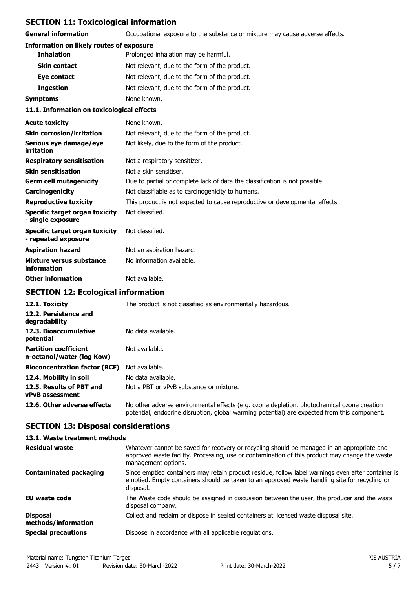## **SECTION 11: Toxicological information**

**General information CCCUPATION** Occupational exposure to the substance or mixture may cause adverse effects.

### **Information on likely routes of exposure**

| <b>Inhalation</b>   | Prolonged inhalation may be harmful.          |
|---------------------|-----------------------------------------------|
| <b>Skin contact</b> | Not relevant, due to the form of the product. |
| Eye contact         | Not relevant, due to the form of the product. |
| <b>Ingestion</b>    | Not relevant, due to the form of the product. |
| Symptoms            | None known.                                   |
|                     |                                               |

#### **11.1. Information on toxicological effects**

| <b>Acute toxicity</b>                                      | None known.                                                                  |
|------------------------------------------------------------|------------------------------------------------------------------------------|
| <b>Skin corrosion/irritation</b>                           | Not relevant, due to the form of the product.                                |
| Serious eye damage/eye<br>irritation                       | Not likely, due to the form of the product.                                  |
| <b>Respiratory sensitisation</b>                           | Not a respiratory sensitizer.                                                |
| <b>Skin sensitisation</b>                                  | Not a skin sensitiser.                                                       |
| <b>Germ cell mutagenicity</b>                              | Due to partial or complete lack of data the classification is not possible.  |
| Carcinogenicity                                            | Not classifiable as to carcinogenicity to humans.                            |
| <b>Reproductive toxicity</b>                               | This product is not expected to cause reproductive or developmental effects. |
| <b>Specific target organ toxicity</b><br>- single exposure | Not classified.                                                              |
| Specific target organ toxicity<br>- repeated exposure      | Not classified.                                                              |
| <b>Aspiration hazard</b>                                   | Not an aspiration hazard.                                                    |
| Mixture versus substance<br>information                    | No information available.                                                    |
| <b>Other information</b>                                   | Not available.                                                               |

# **SECTION 12: Ecological information**

| 12.1. Toxicity                                            | The product is not classified as environmentally hazardous.                                                                                                                                |
|-----------------------------------------------------------|--------------------------------------------------------------------------------------------------------------------------------------------------------------------------------------------|
| 12.2. Persistence and<br>degradability                    |                                                                                                                                                                                            |
| 12.3. Bioaccumulative<br>potential                        | No data available.                                                                                                                                                                         |
| <b>Partition coefficient</b><br>n-octanol/water (log Kow) | Not available.                                                                                                                                                                             |
| <b>Bioconcentration factor (BCF)</b>                      | Not available.                                                                                                                                                                             |
| 12.4. Mobility in soil                                    | No data available.                                                                                                                                                                         |
| 12.5. Results of PBT and<br>vPvB assessment               | Not a PBT or vPvB substance or mixture.                                                                                                                                                    |
| 12.6. Other adverse effects                               | No other adverse environmental effects (e.g. ozone depletion, photochemical ozone creation<br>potential, endocrine disruption, global warming potential) are expected from this component. |

## **SECTION 13: Disposal considerations**

| 13.1. Waste treatment methods          |                                                                                                                                                                                                                     |
|----------------------------------------|---------------------------------------------------------------------------------------------------------------------------------------------------------------------------------------------------------------------|
| <b>Residual waste</b>                  | Whatever cannot be saved for recovery or recycling should be managed in an appropriate and<br>approved waste facility. Processing, use or contamination of this product may change the waste<br>management options. |
| <b>Contaminated packaging</b>          | Since emptied containers may retain product residue, follow label warnings even after container is<br>emptied. Empty containers should be taken to an approved waste handling site for recycling or<br>disposal.    |
| EU waste code                          | The Waste code should be assigned in discussion between the user, the producer and the waste<br>disposal company.                                                                                                   |
| <b>Disposal</b><br>methods/information | Collect and reclaim or dispose in sealed containers at licensed waste disposal site.                                                                                                                                |
| <b>Special precautions</b>             | Dispose in accordance with all applicable regulations.                                                                                                                                                              |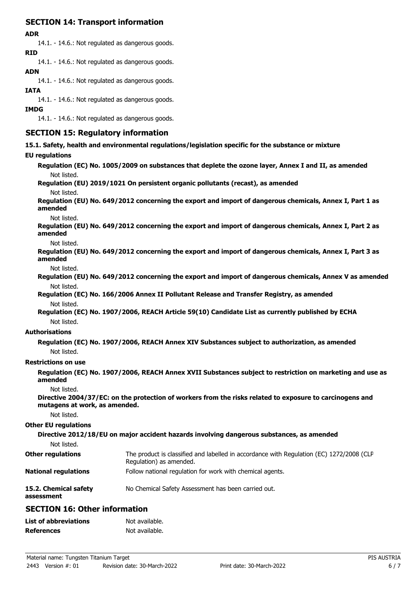## **SECTION 14: Transport information**

#### **ADR**

14.1. - 14.6.: Not regulated as dangerous goods. **RID**

14.1. - 14.6.: Not regulated as dangerous goods.

## **ADN**

14.1. - 14.6.: Not regulated as dangerous goods.

### **IATA**

14.1. - 14.6.: Not regulated as dangerous goods.

### **IMDG**

14.1. - 14.6.: Not regulated as dangerous goods.

## **SECTION 15: Regulatory information**

**15.1. Safety, health and environmental regulations/legislation specific for the substance or mixture**

### **EU regulati**

| <b>EU regulations</b>               |                                                                                                                     |
|-------------------------------------|---------------------------------------------------------------------------------------------------------------------|
|                                     | Regulation (EC) No. 1005/2009 on substances that deplete the ozone layer, Annex I and II, as amended                |
| Not listed.                         |                                                                                                                     |
|                                     | Regulation (EU) 2019/1021 On persistent organic pollutants (recast), as amended                                     |
| Not listed.                         |                                                                                                                     |
| amended                             | Regulation (EU) No. 649/2012 concerning the export and import of dangerous chemicals, Annex I, Part 1 as            |
| Not listed.                         |                                                                                                                     |
| amended                             | Regulation (EU) No. 649/2012 concerning the export and import of dangerous chemicals, Annex I, Part 2 as            |
| Not listed.                         |                                                                                                                     |
| amended                             | Regulation (EU) No. 649/2012 concerning the export and import of dangerous chemicals, Annex I, Part 3 as            |
| Not listed.                         |                                                                                                                     |
|                                     | Regulation (EU) No. 649/2012 concerning the export and import of dangerous chemicals, Annex V as amended            |
| Not listed.                         |                                                                                                                     |
|                                     | Regulation (EC) No. 166/2006 Annex II Pollutant Release and Transfer Registry, as amended                           |
| Not listed.                         |                                                                                                                     |
|                                     | Regulation (EC) No. 1907/2006, REACH Article 59(10) Candidate List as currently published by ECHA                   |
| Not listed.                         |                                                                                                                     |
| <b>Authorisations</b>               |                                                                                                                     |
|                                     | Regulation (EC) No. 1907/2006, REACH Annex XIV Substances subject to authorization, as amended                      |
| Not listed.                         |                                                                                                                     |
| <b>Restrictions on use</b>          |                                                                                                                     |
| amended                             | Regulation (EC) No. 1907/2006, REACH Annex XVII Substances subject to restriction on marketing and use as           |
| Not listed.                         |                                                                                                                     |
| mutagens at work, as amended.       | Directive 2004/37/EC: on the protection of workers from the risks related to exposure to carcinogens and            |
| Not listed.                         |                                                                                                                     |
| <b>Other EU regulations</b>         |                                                                                                                     |
|                                     | Directive 2012/18/EU on major accident hazards involving dangerous substances, as amended                           |
| Not listed.                         |                                                                                                                     |
| <b>Other regulations</b>            | The product is classified and labelled in accordance with Regulation (EC) 1272/2008 (CLP<br>Regulation) as amended. |
| <b>National regulations</b>         | Follow national regulation for work with chemical agents.                                                           |
| 15.2. Chemical safety<br>assessment | No Chemical Safety Assessment has been carried out.                                                                 |

## **SECTION 16: Other information**

| <b>List of abbreviations</b> | Not available. |
|------------------------------|----------------|
| <b>References</b>            | Not available. |